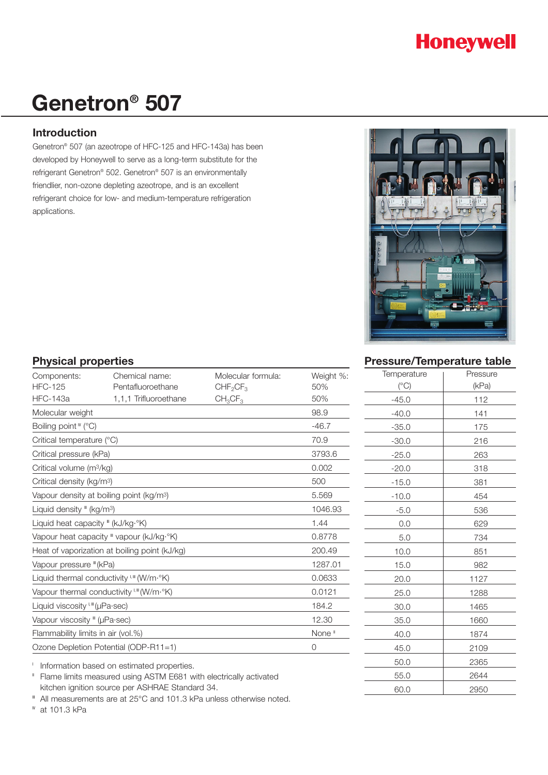

# **Genetron® 507**

# **Introduction**

Genetron® 507 (an azeotrope of HFC-125 and HFC-143a) has been developed by Honeywell to serve as a long-term substitute for the refrigerant Genetron® 502. Genetron® 507 is an environmentally friendlier, non-ozone depleting azeotrope, and is an excellent refrigerant choice for low- and medium-temperature refrigeration applications.



# **Physical properties**

| Components:                                          | Chemical name:            | Molecular formula:               | Weight %: |
|------------------------------------------------------|---------------------------|----------------------------------|-----------|
| <b>HFC-125</b>                                       | Pentafluoroethane         | CHF <sub>2</sub> CF <sub>3</sub> | 50%       |
| <b>HFC-143a</b>                                      | 1,1,1 Trifluoroethane     | $CH_3CF_3$                       | 50%       |
| Molecular weight                                     |                           |                                  | 98.9      |
| Boiling point " (°C)                                 |                           |                                  | $-46.7$   |
|                                                      | Critical temperature (°C) |                                  |           |
| Critical pressure (kPa)                              |                           |                                  | 3793.6    |
| Critical volume (m <sup>3</sup> /kg)                 |                           |                                  | 0.002     |
| Critical density (kg/m <sup>3</sup> )                |                           |                                  | 500       |
| Vapour density at boiling point (kg/m <sup>3</sup> ) |                           |                                  | 5.569     |
| Liquid density " (kg/m <sup>3</sup> )                |                           |                                  | 1046.93   |
| Liquid heat capacity $\mathbb{I}$ (kJ/kg $\cdot$ °K) |                           |                                  | 1.44      |
| Vapour heat capacity " vapour (kJ/kg·°K)             |                           |                                  | 0.8778    |
| Heat of vaporization at boiling point (kJ/kg)        |                           |                                  | 200.49    |
| Vapour pressure "(kPa)                               |                           |                                  | 1287.01   |
| Liquid thermal conductivity I, III (W/m·°K)          |                           |                                  | 0.0633    |
| Vapour thermal conductivity I. III (W/m·°K)          |                           |                                  | 0.0121    |
| Liquid viscosity I, III (µPa·sec)                    |                           |                                  | 184.2     |
| Vapour viscosity "" (µPa·sec)                        | 12.30                     |                                  |           |
| Flammability limits in air (vol.%)                   | None <sup>®</sup>         |                                  |           |
| Ozone Depletion Potential (ODP-R11=1)                |                           |                                  | 0         |

<sup>1</sup> Information based on estimated properties.

<sup>II</sup> Flame limits measured using ASTM E681 with electrically activated kitchen ignition source per ASHRAE Standard 34.

<sup>■</sup> All measurements are at 25°C and 101.3 kPa unless otherwise noted.

<sup>*w*</sup> at 101.3 kPa

| <b>Pressure/Temperature table</b> |  |
|-----------------------------------|--|
|                                   |  |

| Temperature  | Pressure |  |
|--------------|----------|--|
| $(^\circ C)$ | (kPa)    |  |
| $-45.0$      | 112      |  |
| $-40.0$      | 141      |  |
| $-35.0$      | 175      |  |
| $-30.0$      | 216      |  |
| $-25.0$      | 263      |  |
| $-20.0$      | 318      |  |
| $-15.0$      | 381      |  |
| $-10.0$      | 454      |  |
| $-5.0$       | 536      |  |
| 0.0          | 629      |  |
| 5.0          | 734      |  |
| 10.0         | 851      |  |
| 15.0         | 982      |  |
| 20.0         | 1127     |  |
| 25.0         | 1288     |  |
| 30.0         | 1465     |  |
| 35.0         | 1660     |  |
| 40.0         | 1874     |  |
| 45.0         | 2109     |  |
| 50.0         | 2365     |  |
| 55.0         | 2644     |  |
| 60.0         | 2950     |  |
|              |          |  |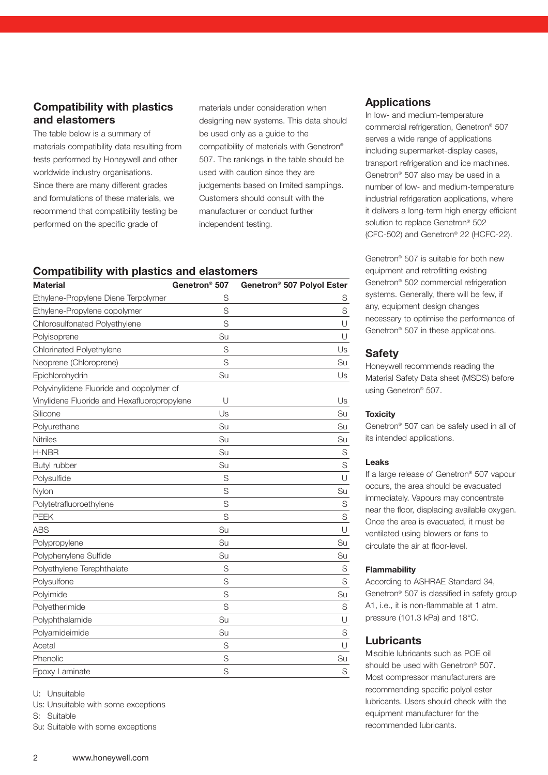# **Compatibility with plastics and elastomers**

The table below is a summary of materials compatibility data resulting from tests performed by Honeywell and other worldwide industry organisations. Since there are many different grades and formulations of these materials, we recommend that compatibility testing be performed on the specific grade of

materials under consideration when designing new systems. This data should be used only as a guide to the compatibility of materials with Genetron® 507. The rankings in the table should be used with caution since they are judgements based on limited samplings. Customers should consult with the manufacturer or conduct further independent testing.

### **Compatibility with plastics and elastomers**

| <b>Material</b>                             | Genetron <sup>®</sup> 507 | Genetron <sup>®</sup> 507 Polyol Ester |
|---------------------------------------------|---------------------------|----------------------------------------|
| Ethylene-Propylene Diene Terpolymer         | S                         | S                                      |
| Ethylene-Propylene copolymer                | S                         | S                                      |
| Chlorosulfonated Polyethylene               | S                         | U                                      |
| Polyisoprene                                | Su                        | $\cup$                                 |
| Chlorinated Polyethylene                    | S                         | Us                                     |
| Neoprene (Chloroprene)                      | S                         | Su                                     |
| Epichlorohydrin                             | Su                        | Us                                     |
| Polyvinylidene Fluoride and copolymer of    |                           |                                        |
| Vinylidene Fluoride and Hexafluoropropylene | U                         | Us                                     |
| Silicone                                    | Us                        | Su                                     |
| Polyurethane                                | Su                        | Su                                     |
| Nitriles                                    | Su                        | Su                                     |
| H-NBR                                       | Su                        | S                                      |
| Butyl rubber                                | Su                        | S                                      |
| Polysulfide                                 | S                         | U                                      |
| Nylon                                       | S                         | Su                                     |
| Polytetrafluoroethylene                     | S                         | S                                      |
| <b>PEEK</b>                                 | S                         | S                                      |
| <b>ABS</b>                                  | Su                        | U                                      |
| Polypropylene                               | Su                        | Su                                     |
| Polyphenylene Sulfide                       | Su                        | Su                                     |
| Polyethylene Terephthalate                  | S                         | S                                      |
| Polysulfone                                 | S                         | S                                      |
| Polyimide                                   | S                         | Su                                     |
| Polyetherimide                              | S                         | S                                      |
| Polyphthalamide                             | Su                        | U                                      |
| Polyamideimide                              | Su                        | S                                      |
| Acetal                                      | S                         | U                                      |
| Phenolic                                    | S                         | Su                                     |
| Epoxy Laminate                              | S                         | S                                      |

U: Unsuitable

Us: Unsuitable with some exceptions

S: Suitable

Su: Suitable with some exceptions

#### **Applications**

In low- and medium-temperature commercial refrigeration, Genetron® 507 serves a wide range of applications including supermarket-display cases, transport refrigeration and ice machines. Genetron® 507 also may be used in a number of low- and medium-temperature industrial refrigeration applications, where it delivers a long-term high energy efficient solution to replace Genetron® 502 (CFC-502) and Genetron® 22 (HCFC-22).

Genetron® 507 is suitable for both new equipment and retrofitting existing Genetron® 502 commercial refrigeration systems. Generally, there will be few, if any, equipment design changes necessary to optimise the performance of Genetron® 507 in these applications.

#### **Safety**

Honeywell recommends reading the Material Safety Data sheet (MSDS) before using Genetron® 507.

#### **Toxicity**

Genetron® 507 can be safely used in all of its intended applications.

#### **Leaks**

If a large release of Genetron® 507 vapour occurs, the area should be evacuated immediately. Vapours may concentrate near the floor, displacing available oxygen. Once the area is evacuated, it must be ventilated using blowers or fans to circulate the air at floor-level.

#### **Flammability**

According to ASHRAE Standard 34, Genetron® 507 is classified in safety group A1, i.e., it is non-flammable at 1 atm. pressure (101.3 kPa) and 18°C.

# **Lubricants**

Miscible lubricants such as POE oil should be used with Genetron® 507. Most compressor manufacturers are recommending specific polyol ester lubricants. Users should check with the equipment manufacturer for the recommended lubricants.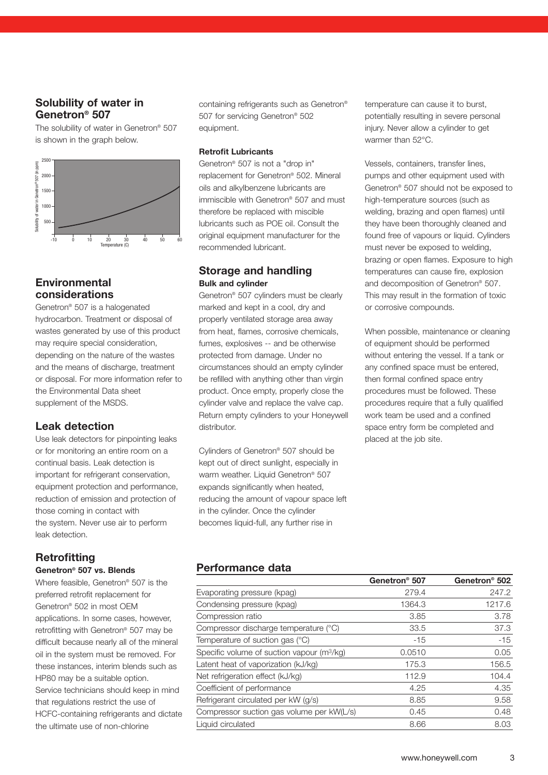# **Solubility of water in Genetron® 507**

The solubility of water in Genetron® 507 is shown in the graph below.



# **Environmental considerations**

Genetron® 507 is a halogenated hydrocarbon. Treatment or disposal of wastes generated by use of this product may require special consideration, depending on the nature of the wastes and the means of discharge, treatment or disposal. For more information refer to the Environmental Data sheet supplement of the MSDS.

# **Leak detection**

Use leak detectors for pinpointing leaks or for monitoring an entire room on a continual basis. Leak detection is important for refrigerant conservation, equipment protection and performance, reduction of emission and protection of those coming in contact with the system. Never use air to perform leak detection.

# **Retrofitting**

### **Genetron® 507 vs. Blends**

Where feasible, Genetron<sup>®</sup> 507 is the preferred retrofit replacement for Genetron® 502 in most OEM applications. In some cases, however, retrofitting with Genetron® 507 may be difficult because nearly all of the mineral oil in the system must be removed. For these instances, interim blends such as HP80 may be a suitable option. Service technicians should keep in mind that regulations restrict the use of HCFC-containing refrigerants and dictate the ultimate use of non-chlorine

containing refrigerants such as Genetron® 507 for servicing Genetron® 502 equipment.

#### **Retrofit Lubricants**

Genetron® 507 is not a "drop in" replacement for Genetron® 502. Mineral oils and alkylbenzene lubricants are immiscible with Genetron® 507 and must therefore be replaced with miscible lubricants such as POE oil. Consult the original equipment manufacturer for the recommended lubricant.

### **Storage and handling Bulk and cylinder**

Genetron® 507 cylinders must be clearly marked and kept in a cool, dry and properly ventilated storage area away from heat, flames, corrosive chemicals, fumes, explosives -- and be otherwise protected from damage. Under no circumstances should an empty cylinder be refilled with anything other than virgin product. Once empty, properly close the cylinder valve and replace the valve cap. Return empty cylinders to your Honeywell distributor.

Cylinders of Genetron® 507 should be kept out of direct sunlight, especially in warm weather. Liquid Genetron<sup>®</sup> 507 expands significantly when heated, reducing the amount of vapour space left in the cylinder. Once the cylinder becomes liquid-full, any further rise in

temperature can cause it to burst, potentially resulting in severe personal injury. Never allow a cylinder to get warmer than 52°C.

Vessels, containers, transfer lines, pumps and other equipment used with Genetron® 507 should not be exposed to high-temperature sources (such as welding, brazing and open flames) until they have been thoroughly cleaned and found free of vapours or liquid. Cylinders must never be exposed to welding, brazing or open flames. Exposure to high temperatures can cause fire, explosion and decomposition of Genetron® 507. This may result in the formation of toxic or corrosive compounds.

When possible, maintenance or cleaning of equipment should be performed without entering the vessel. If a tank or any confined space must be entered, then formal confined space entry procedures must be followed. These procedures require that a fully qualified work team be used and a confined space entry form be completed and placed at the job site.

# **Performance data**

|                                                        | Genetron <sup>®</sup> 507 | Genetron <sup>®</sup> 502 |
|--------------------------------------------------------|---------------------------|---------------------------|
| Evaporating pressure (kpag)                            | 279.4                     | 247.2                     |
| Condensing pressure (kpag)                             | 1364.3                    | 1217.6                    |
| Compression ratio                                      | 3.85                      | 3.78                      |
| Compressor discharge temperature (°C)                  | 33.5                      | 37.3                      |
| Temperature of suction gas (°C)                        | $-15$                     | $-15$                     |
| Specific volume of suction vapour (m <sup>3</sup> /kg) | 0.0510                    | 0.05                      |
| Latent heat of vaporization (kJ/kg)                    | 175.3                     | 156.5                     |
| Net refrigeration effect (kJ/kg)                       | 112.9                     | 104.4                     |
| Coefficient of performance                             | 4.25                      | 4.35                      |
| Refrigerant circulated per kW (g/s)                    | 8.85                      | 9.58                      |
| Compressor suction gas volume per kW(L/s)              | 0.45                      | 0.48                      |
| Liquid circulated                                      | 8.66                      | 8.03                      |